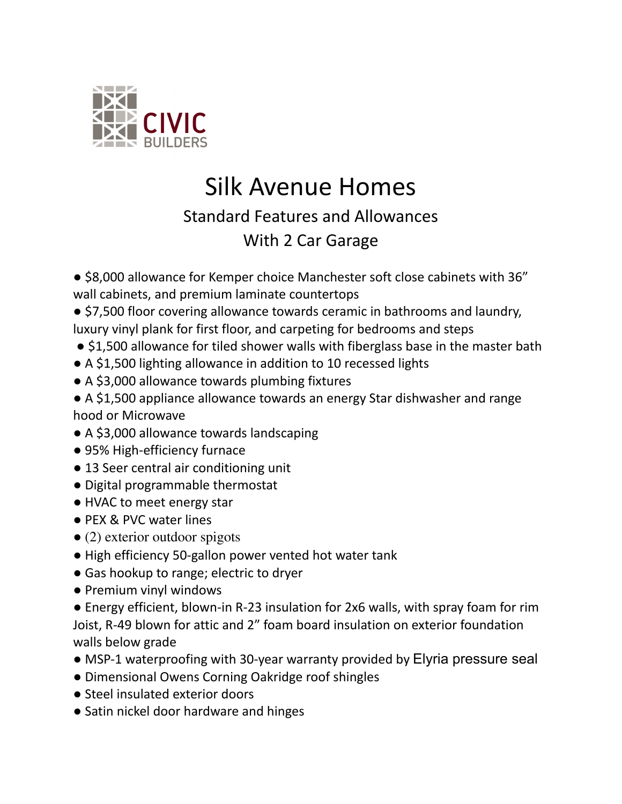

## Silk Avenue Homes

## Standard Features and Allowances

## With 2 Car Garage

● \$8,000 allowance for Kemper choice Manchester soft close cabinets with 36" wall cabinets, and premium laminate countertops

- \$7,500 floor covering allowance towards ceramic in bathrooms and laundry, luxury vinyl plank for first floor, and carpeting for bedrooms and steps
- \$1,500 allowance for tiled shower walls with fiberglass base in the master bath
- A \$1,500 lighting allowance in addition to 10 recessed lights
- A \$3,000 allowance towards plumbing fixtures

● A \$1,500 appliance allowance towards an energy Star dishwasher and range hood or Microwave

- A \$3,000 allowance towards landscaping
- 95% High-efficiency furnace
- 13 Seer central air conditioning unit
- Digital programmable thermostat
- HVAC to meet energy star
- PEX & PVC water lines
- (2) exterior outdoor spigots
- High efficiency 50-gallon power vented hot water tank
- Gas hookup to range; electric to dryer
- Premium vinyl windows

● Energy efficient, blown-in R-23 insulation for 2x6 walls, with spray foam for rim Joist, R-49 blown for attic and 2" foam board insulation on exterior foundation walls below grade

- MSP-1 waterproofing with 30-year warranty provided by Elyria pressure seal
- Dimensional Owens Corning Oakridge roof shingles
- Steel insulated exterior doors
- Satin nickel door hardware and hinges